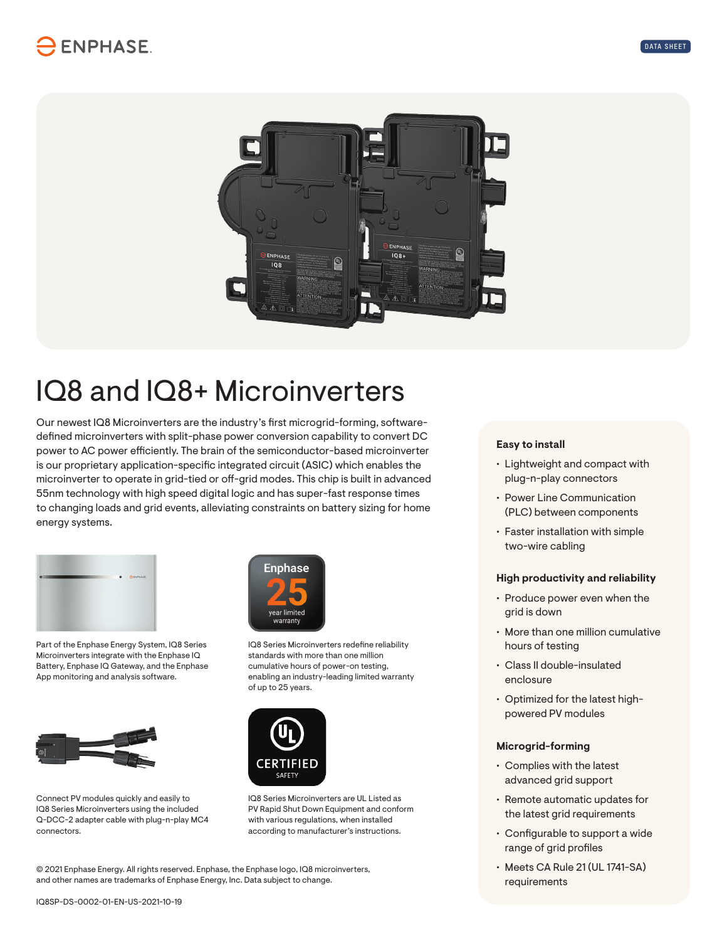

# IQ8 and IQ8+ Microinverters

Our newest IQ8 Microinverters are the industry's first microgrid-forming, softwaredefined microinverters with split-phase power conversion capability to convert DC power to AC power efficiently. The brain of the semiconductor-based microinverter is our proprietary application-specific integrated circuit (ASIC) which enables the microinverter to operate in grid-tied or off-grid modes. This chip is built in advanced 55nm technology with high speed digital logic and has super-fast response times to changing loads and grid events, alleviating constraints on battery sizing for home energy systems.



Part of the Enphase Energy System, IQ8 Series Microinverters integrate with the Enphase IQ Battery, Enphase IQ Gateway, and the Enphase App monitoring and analysis software.



Connect PV modules quickly and easily to IQ8 Series Microinverters using the included Q-DCC-2 adapter cable with plug-n-play MC4 connectors.



IQ8 Series Microinverters redefine reliability standards with more than one million cumulative hours of power-on testing, enabling an industry-leading limited warranty of up to 25 years.



IQ8 Series Microinverters are UL Listed as PV Rapid Shut Down Equipment and conform with various regulations, when installed according to manufacturer's instructions.

© 2021 Enphase Energy. All rights reserved. Enphase, the Enphase logo, IQ8 microinverters, and other names are trademarks of Enphase Energy, Inc. Data subject to change.

#### **Easy to install**

- Lightweight and compact with plug-n-play connectors
- Power Line Communication (PLC) between components
- Faster installation with simple two-wire cabling

### **High productivity and reliability**

- Produce power even when the grid is down
- More than one million cumulative hours of testing
- Class II double-insulated enclosure
- Optimized for the latest highpowered PV modules

#### **Microgrid-forming**

- Complies with the latest advanced grid support
- Remote automatic updates for the latest grid requirements
- Configurable to support a wide range of grid profiles
- Meets CA Rule 21 (UL 1741-SA) requirements